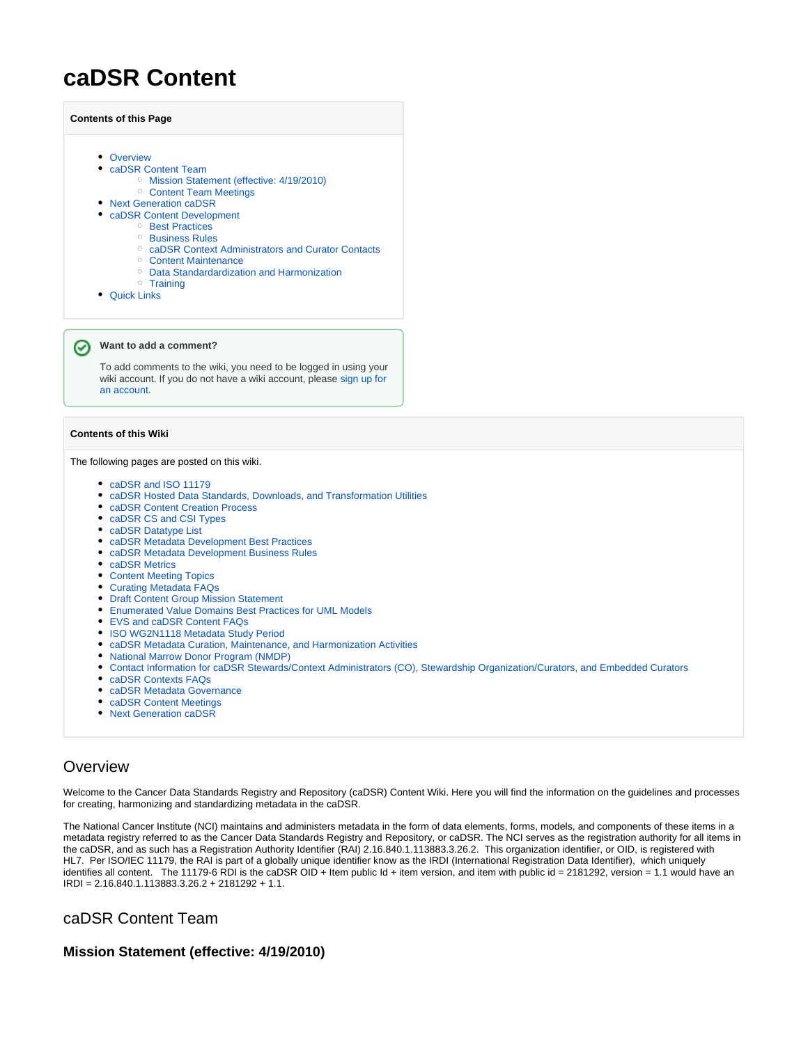# **caDSR Content**

| <b>Contents of this Page</b>                        |
|-----------------------------------------------------|
|                                                     |
| • Overview                                          |
| • caDSR Content Team                                |
| Mission Statement (effective: 4/19/2010)<br>$\circ$ |
| <sup>o</sup> Content Team Meetings                  |
| • Next Generation caDSR                             |
| • caDSR Content Development                         |
| <b>Best Practices</b><br>$\circ$                    |
| <b>Business Rules</b><br>$\circ$                    |
| caDSR Context Administrators and Curator Contacts   |

- <sup>o</sup> [Content Maintenance](#page-1-6)
- [Data Standardardization and Harmonization](#page-1-7)
- <sup>o</sup> [Training](#page-2-0)
- [Quick Links](#page-2-1)

#### **Want to add a comment?** の

To add comments to the wiki, you need to be logged in using your wiki account. If you do not have a wiki account, please [sign up for](http://wikiutils.nci.nih.gov/wiki_signup)  [an account](http://wikiutils.nci.nih.gov/wiki_signup).

#### **Contents of this Wiki**

The following pages are posted on this wiki.

- [caDSR and ISO 11179](https://wiki.nci.nih.gov/display/caDSR/caDSR+and+ISO+11179)
- [caDSR Hosted Data Standards, Downloads, and Transformation Utilities](https://wiki.nci.nih.gov/display/caDSR/caDSR+Hosted+Data+Standards%2C+Downloads%2C+and+Transformation+Utilities)
- [caDSR Content Creation Process](https://wiki.nci.nih.gov/display/caDSR/caDSR+Content+Creation+Process)
- [caDSR CS and CSI Types](https://wiki.nci.nih.gov/display/caDSR/caDSR+CS+and+CSI+Types)
- [caDSR Datatype List](https://wiki.nci.nih.gov/display/caDSR/caDSR+Datatype+List)
- [caDSR Metadata Development Best Practices](https://wiki.nci.nih.gov/display/caDSR/caDSR+Metadata+Development+Best+Practices)
- [caDSR Metadata Development Business Rules](https://wiki.nci.nih.gov/display/caDSR/caDSR+Metadata+Development+Business+Rules)
- [caDSR Metrics](https://wiki.nci.nih.gov/display/caDSR/caDSR+Metrics)
- [Content Meeting Topics](https://wiki.nci.nih.gov/display/caDSR/Content+Meeting+Topics)
- [Curating Metadata FAQs](https://wiki.nci.nih.gov/display/caDSR/Curating+Metadata+FAQs)
- **[Draft Content Group Mission Statement](https://wiki.nci.nih.gov/display/caDSR/Draft+Content+Group+Mission+Statement)**
- [Enumerated Value Domains Best Practices for UML Models](https://wiki.nci.nih.gov/display/caDSR/Enumerated+Value+Domains+Best+Practices+for+UML+Models)
- [EVS and caDSR Content FAQs](https://wiki.nci.nih.gov/display/caDSR/EVS+and+caDSR+Content+FAQs)
- [ISO WG2N1118 Metadata Study Period](https://wiki.nci.nih.gov/display/caDSR/ISO+WG2N1118+Metadata+Study+Period)
- [caDSR Metadata Curation, Maintenance, and Harmonization Activities](https://wiki.nci.nih.gov/display/caDSR/caDSR+Metadata+Curation%2C+Maintenance%2C+and+Harmonization+Activities)
- [National Marrow Donor Program \(NMDP\)](https://wiki.nci.nih.gov/pages/viewpage.action?pageId=8169985)
- [Contact Information for caDSR Stewards/Context Administrators \(CO\), Stewardship Organization/Curators, and Embedded Curators](https://wiki.nci.nih.gov/pages/viewpage.action?pageId=86322970)
- [caDSR Contexts FAQs](https://wiki.nci.nih.gov/display/caDSR/caDSR+Contexts+FAQs)
- [caDSR Metadata Governance](https://wiki.nci.nih.gov/display/caDSR/caDSR+Metadata+Governance)
- [caDSR Content Meetings](https://wiki.nci.nih.gov/display/caDSR/caDSR+Content+Meetings)
- [Next Generation caDSR](https://wiki.nci.nih.gov/display/caDSR/Next+Generation+caDSR)

### <span id="page-0-0"></span>**Overview**

Welcome to the Cancer Data Standards Registry and Repository (caDSR) Content Wiki. Here you will find the information on the guidelines and processes for creating, harmonizing and standardizing metadata in the caDSR.

The National Cancer Institute (NCI) maintains and administers metadata in the form of data elements, forms, models, and components of these items in a metadata registry referred to as the Cancer Data Standards Registry and Repository, or caDSR. The NCI serves as the registration authority for all items in the caDSR, and as such has a Registration Authority Identifier (RAI) 2.16.840.1.113883.3.26.2. This organization identifier, or OID, is registered with HL7. Per ISO/IEC 11179, the RAI is part of a globally unique identifier know as the IRDI (International Registration Data Identifier), which uniquely identifies all content. The 11179-6 RDI is the caDSR OID + Item public Id + item version, and item with public id = 2181292, version = 1.1 would have an IRDI = 2.16.840.1.113883.3.26.2 + 2181292 + 1.1.

## <span id="page-0-1"></span>caDSR Content Team

#### <span id="page-0-2"></span>**Mission Statement (effective: 4/19/2010)**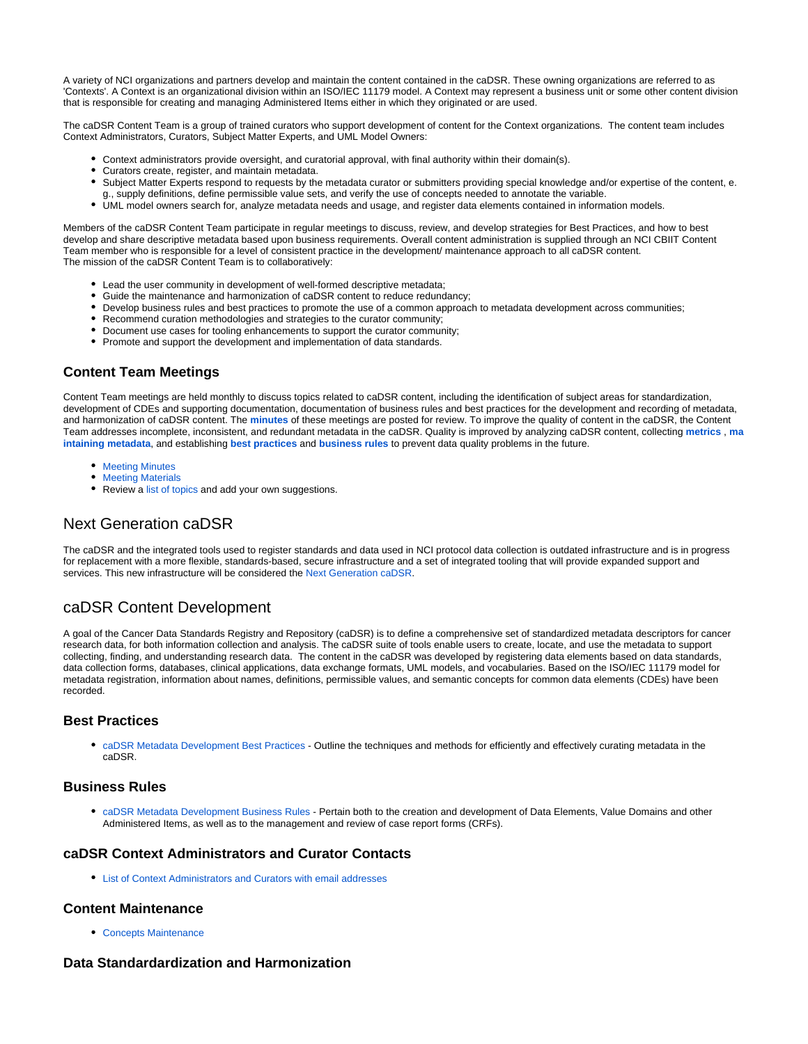A variety of NCI organizations and partners develop and maintain the content contained in the caDSR. These owning organizations are referred to as 'Contexts'. A Context is an organizational division within an ISO/IEC 11179 model. A Context may represent a business unit or some other content division that is responsible for creating and managing Administered Items either in which they originated or are used.

The caDSR Content Team is a group of trained curators who support development of content for the Context organizations. The content team includes Context Administrators, Curators, Subject Matter Experts, and UML Model Owners:

- Context administrators provide oversight, and curatorial approval, with final authority within their domain(s).
- Curators create, register, and maintain metadata.
- Subject Matter Experts respond to requests by the metadata curator or submitters providing special knowledge and/or expertise of the content, e. g., supply definitions, define permissible value sets, and verify the use of concepts needed to annotate the variable.
- UML model owners search for, analyze metadata needs and usage, and register data elements contained in information models.

Members of the caDSR Content Team participate in regular meetings to discuss, review, and develop strategies for Best Practices, and how to best develop and share descriptive metadata based upon business requirements. Overall content administration is supplied through an NCI CBIIT Content Team member who is responsible for a level of consistent practice in the development/ maintenance approach to all caDSR content. The mission of the caDSR Content Team is to collaboratively:

- Lead the user community in development of well-formed descriptive metadata;
- Guide the maintenance and harmonization of caDSR content to reduce redundancy;
- Develop business rules and best practices to promote the use of a common approach to metadata development across communities;
- Recommend curation methodologies and strategies to the curator community;
- Document use cases for tooling enhancements to support the curator community;
- Promote and support the development and implementation of data standards.

#### <span id="page-1-0"></span>**Content Team Meetings**

Content Team meetings are held monthly to discuss topics related to caDSR content, including the identification of subject areas for standardization, development of CDEs and supporting documentation, documentation of business rules and best practices for the development and recording of metadata, and harmonization of caDSR content. The **[minutes](https://wiki.nci.nih.gov/display/GFORGEARCHIVES/Docs+Archive+Page+-+cadsrcontentgrp#DocsArchivePage-cadsrcontentgrp-MeetingMinutes)** of these meetings are posted for review. To improve the quality of content in the caDSR, the Content Team addresses incomplete, inconsistent, and redundant metadata in the caDSR. Quality is improved by analyzing caDSR content, collecting **[metrics](https://wiki.nci.nih.gov/x/4AGM)** , **[ma](https://wiki.nci.nih.gov/display/caDSR/caDSR+Content+-+Metadata+Maintenance) [intaining metadata](https://wiki.nci.nih.gov/display/caDSR/caDSR+Content+-+Metadata+Maintenance)**, and establishing **[best practices](https://wiki.nci.nih.gov/x/UARy)** and **[business rules](https://wiki.nci.nih.gov/x/TgRy)** to prevent data quality problems in the future.

- **[Meeting Minutes](https://wiki.nci.nih.gov/display/caDSR/caDSR+Content+Meetings)**
- **[Meeting Materials](https://wiki.nci.nih.gov/display/caDSR/caDSR+Content+Meetings)**
- Review a [list of topics](https://wiki.nci.nih.gov/x/IAY2Ag) and add your own suggestions.

# <span id="page-1-1"></span>Next Generation caDSR

The caDSR and the integrated tools used to register standards and data used in NCI protocol data collection is outdated infrastructure and is in progress for replacement with a more flexible, standards-based, secure infrastructure and a set of integrated tooling that will provide expanded support and services. This new infrastructure will be considered the [Next Generation caDSR](https://wiki.nci.nih.gov/display/caDSR/Next+Generation+caDSR).

# <span id="page-1-2"></span>caDSR Content Development

A goal of the Cancer Data Standards Registry and Repository (caDSR) is to define a comprehensive set of standardized metadata descriptors for cancer research data, for both information collection and analysis. The caDSR suite of tools enable users to create, locate, and use the metadata to support collecting, finding, and understanding research data. The content in the caDSR was developed by registering data elements based on data standards, data collection forms, databases, clinical applications, data exchange formats, UML models, and vocabularies. Based on the ISO/IEC 11179 model for metadata registration, information about names, definitions, permissible values, and semantic concepts for common data elements (CDEs) have been recorded.

### <span id="page-1-3"></span>**Best Practices**

[caDSR Metadata Development Best Practices](https://wiki.nci.nih.gov/x/UARy) - Outline the techniques and methods for efficiently and effectively curating metadata in the caDSR.

#### <span id="page-1-4"></span>**Business Rules**

[caDSR Metadata Development Business Rules](https://wiki.nci.nih.gov/x/TgRy) - Pertain both to the creation and development of Data Elements, Value Domains and other Administered Items, as well as to the management and review of case report forms (CRFs).

#### <span id="page-1-5"></span>**caDSR Context Administrators and Curator Contacts**

[List of Context Administrators and Curators with email addresses](https://wiki.nci.nih.gov/x/Gi8lBQ)

#### <span id="page-1-6"></span>**Content Maintenance**

[Concepts Maintenance](https://wiki.nci.nih.gov/display/caDSR/Concepts+Maintenance)

#### <span id="page-1-7"></span>**Data Standardardization and Harmonization**